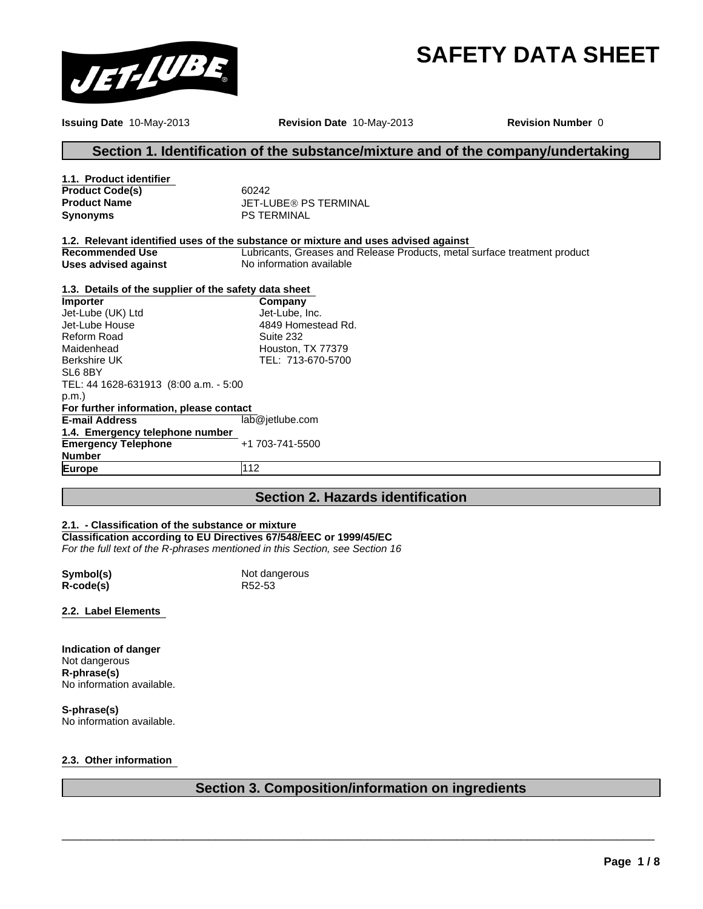# **SAFETY DATA SHEET**



**Issuing Date** 10-May-2013 **Revision Date** 10-May-2013

**Revision Number** 0

## **Section 1. Identification of the substance/mixture and of the company/undertaking**

| 1.1. Product identifier                               |                                                                                                                                                                 |
|-------------------------------------------------------|-----------------------------------------------------------------------------------------------------------------------------------------------------------------|
| <b>Product Code(s)</b>                                | 60242                                                                                                                                                           |
| <b>Product Name</b>                                   | <b>JET-LUBE® PS TERMINAL</b>                                                                                                                                    |
| Synonyms                                              | <b>PS TERMINAL</b>                                                                                                                                              |
| Recommended Use                                       | 1.2. Relevant identified uses of the substance or mixture and uses advised against<br>Lubricants, Greases and Release Products, metal surface treatment product |
| <b>Uses advised against</b>                           | No information available                                                                                                                                        |
| 1.3. Details of the supplier of the safety data sheet |                                                                                                                                                                 |

lab@jetlube.com **1.4. Emergency telephone number Emergency Telephone Number** +1 703-741-5500 **Europe** 112 **For further information, please contact E-mail Address Importer** Jet-Lube (UK) Ltd Jet-Lube House Reform Road Maidenhead Berkshire UK SL6 8BY TEL: 44 1628-631913 (8:00 a.m. - 5:00 p.m.) **Company** Jet-Lube, Inc. 4849 Homestead Rd. Suite 232 Houston, TX 77379 TEL: 713-670-5700

## **Section 2. Hazards identification**

#### **2.1. - Classification of the substance or mixture**

**Classification according to EU Directives 67/548/EEC or 1999/45/EC** *For the full text of the R-phrases mentioned in this Section, see Section 16*

 $R\text{-code(s)}$ 

**Symbol(s)**<br> **R**-code(s)<br> **R52-53** 

**2.2. Label Elements** 

**Indication of danger** Not dangerous **R-phrase(s)** No information available.

**S-phrase(s)** No information available.

#### **2.3. Other information**

## **Section 3. Composition/information on ingredients**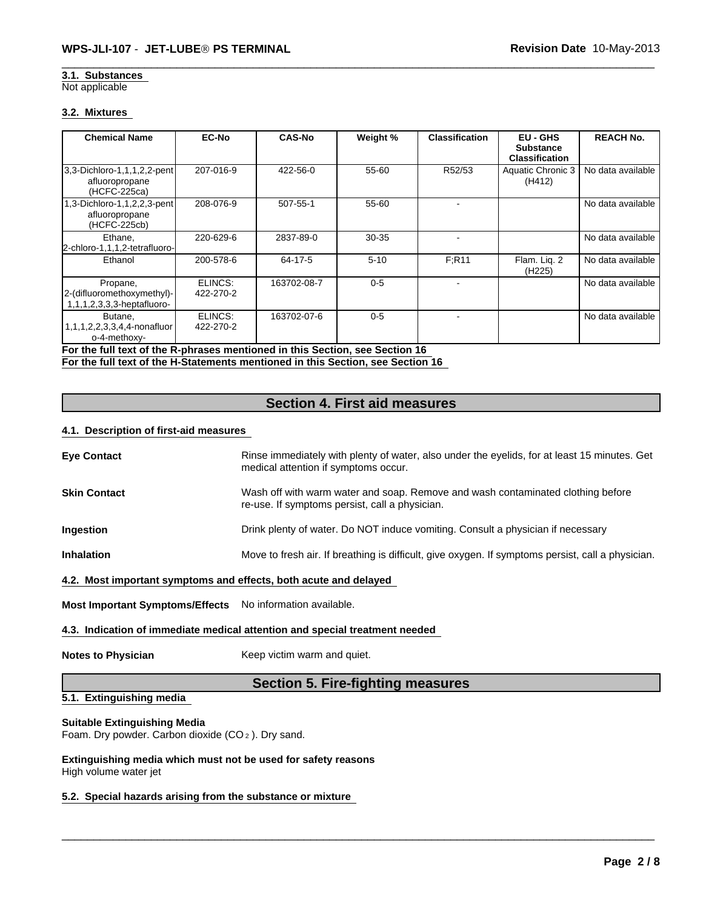#### Not applicable **3.1. Substances**

#### **3.2. Mixtures**

| <b>Chemical Name</b>                                                 | <b>EC-No</b>         | <b>CAS-No</b> | Weight %  | <b>Classification</b> | EU - GHS<br><b>Substance</b><br><b>Classification</b> | <b>REACH No.</b>  |
|----------------------------------------------------------------------|----------------------|---------------|-----------|-----------------------|-------------------------------------------------------|-------------------|
| 3,3-Dichloro-1,1,1,2,2-pent<br>afluoropropane<br>(HCFC-225ca)        | 207-016-9            | 422-56-0      | 55-60     | R52/53                | Aquatic Chronic 3<br>(H412)                           | No data available |
| 1,3-Dichloro-1,1,2,2,3-pent<br>afluoropropane<br>(HCFC-225cb)        | 208-076-9            | 507-55-1      | 55-60     |                       |                                                       | No data available |
| Ethane,<br>2-chloro-1,1,1,2-tetrafluoro-                             | 220-629-6            | 2837-89-0     | $30 - 35$ |                       |                                                       | No data available |
| Ethanol                                                              | 200-578-6            | 64-17-5       | $5 - 10$  | F:R11                 | Flam. Lig. 2<br>(H <sub>225</sub> )                   | No data available |
| Propane,<br>2-(difluoromethoxymethyl)-<br>1,1,1,2,3,3,3-heptafluoro- | ELINCS:<br>422-270-2 | 163702-08-7   | $0 - 5$   |                       |                                                       | No data available |
| Butane,<br>1,1,1,2,2,3,3,4,4-nonafluor<br>o-4-methoxy-               | ELINCS:<br>422-270-2 | 163702-07-6   | $0 - 5$   |                       |                                                       | No data available |

**For the full text of the R-phrases mentioned in this Section, see Section 16** 

**For the full text of the H-Statements mentioned in this Section, see Section 16** 

## **Section 4. First aid measures**

#### **4.1. Description of first-aid measures**

| <b>Eye Contact</b>                                               | Rinse immediately with plenty of water, also under the eyelids, for at least 15 minutes. Get<br>medical attention if symptoms occur. |
|------------------------------------------------------------------|--------------------------------------------------------------------------------------------------------------------------------------|
| <b>Skin Contact</b>                                              | Wash off with warm water and soap. Remove and wash contaminated clothing before<br>re-use. If symptoms persist, call a physician.    |
| <b>Ingestion</b>                                                 | Drink plenty of water. Do NOT induce vomiting. Consult a physician if necessary                                                      |
| <b>Inhalation</b>                                                | Move to fresh air. If breathing is difficult, give oxygen. If symptoms persist, call a physician.                                    |
| 4.2. Most important symptoms and effects, both acute and delayed |                                                                                                                                      |

**Most Important Symptoms/Effects** No information available.

#### **4.3. Indication of immediate medical attention and special treatment needed**

**Notes to Physician** Keep victim warm and quiet.

## **Section 5. Fire-fighting measures**

\_\_\_\_\_\_\_\_\_\_\_\_\_\_\_\_\_\_\_\_\_\_\_\_\_\_\_\_\_\_\_\_\_\_\_\_\_\_\_\_\_\_\_\_\_\_\_\_\_\_\_\_\_\_\_\_\_\_\_\_\_\_\_\_\_\_\_\_\_\_\_\_\_\_\_\_\_\_\_\_\_\_\_\_\_\_\_\_\_\_\_\_\_

## **5.1. Extinguishing media**

#### **Suitable Extinguishing Media**

Foam. Dry powder. Carbon dioxide (CO 2 ). Dry sand.

**Extinguishing media which must not be used for safety reasons** High volume water jet

#### **5.2. Special hazards arising from the substance or mixture**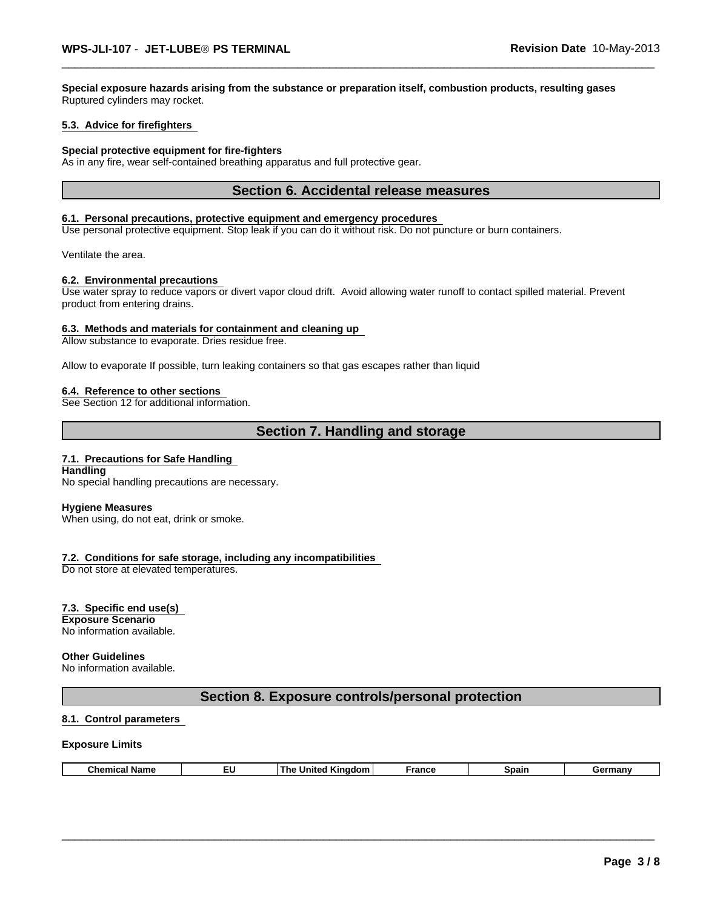**Special exposure hazards arising from the substance or preparation itself, combustion products, resulting gases** Ruptured cylinders may rocket.

#### **5.3. Advice for firefighters**

#### **Special protective equipment for fire-fighters**

As in any fire, wear self-contained breathing apparatus and full protective gear.

#### **Section 6. Accidental release measures**

#### **6.1. Personal precautions, protective equipment and emergency procedures**

Use personal protective equipment. Stop leak if you can do it without risk. Do not puncture or burn containers.

Ventilate the area.

#### **6.2. Environmental precautions**

Use water spray to reduce vapors or divert vapor cloud drift. Avoid allowing water runoff to contact spilled material. Prevent product from entering drains.

#### **6.3. Methods and materials for containment and cleaning up**

Allow substance to evaporate. Dries residue free.

Allow to evaporate If possible, turn leaking containers so that gas escapes rather than liquid

#### **6.4. Reference to other sections**

See Section 12 for additional information.

## **Section 7. Handling and storage**

#### **7.1. Precautions for Safe Handling**

**Handling** No special handling precautions are necessary.

#### **Hygiene Measures**

When using, do not eat, drink or smoke.

#### **7.2. Conditions for safe storage, including any incompatibilities**

Do not store at elevated temperatures.

#### **7.3. Specific end use(s)**

**Exposure Scenario** No information available.

#### **Other Guidelines**

No information available.

#### **Section 8. Exposure controls/personal protection**

#### **8.1. Control parameters**

#### **Exposure Limits**

| 'Kingdom<br><b>Chemical Name</b><br>France<br>Spain<br>Germany<br>Jnited<br>The<br>- |
|--------------------------------------------------------------------------------------|
|--------------------------------------------------------------------------------------|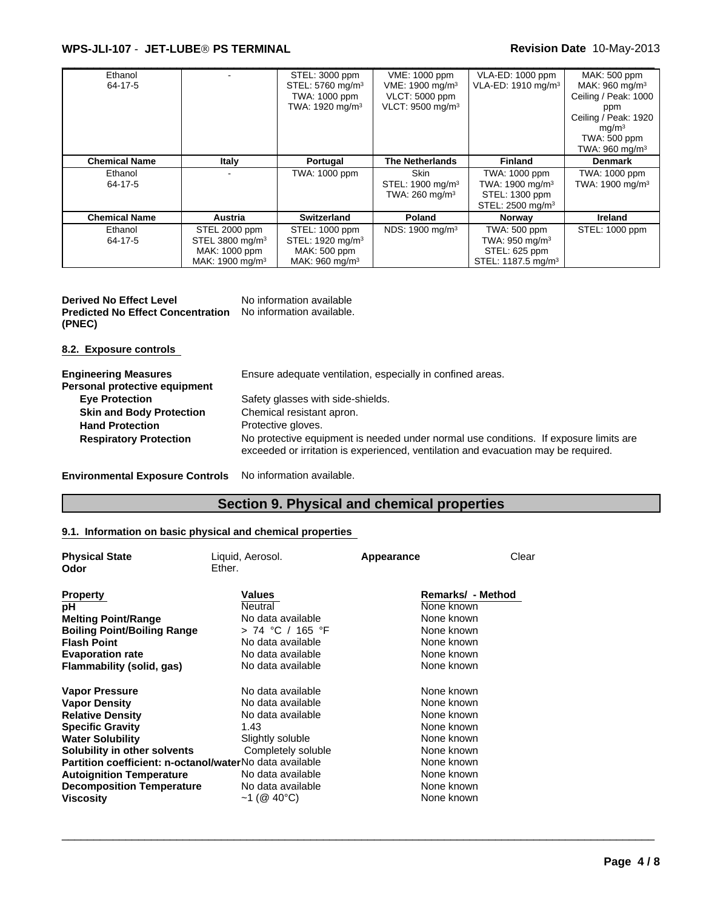#### \_\_\_\_\_\_\_\_\_\_\_\_\_\_\_\_\_\_\_\_\_\_\_\_\_\_\_\_\_\_\_\_\_\_\_\_\_\_\_\_\_\_\_\_\_\_\_\_\_\_\_\_\_\_\_\_\_\_\_\_\_\_\_\_\_\_\_\_\_\_\_\_\_\_\_\_\_\_\_\_\_\_\_\_\_\_\_\_\_\_\_\_\_ **WPS-JLI-107** - **JET-LUBEÒ PS TERMINAL Revision Date** 10-May-2013

| Ethanol<br>64-17-5   |                                                                                              | STEL: 3000 ppm<br>STEL: 5760 mg/m <sup>3</sup><br>TWA: 1000 ppm<br>TWA: 1920 mg/m <sup>3</sup> | VME: 1000 ppm<br>VME: 1900 mg/m <sup>3</sup><br>VLCT: 5000 ppm<br>VLCT: 9500 mg/m <sup>3</sup> | VLA-ED: 1000 ppm<br>VLA-ED: 1910 mg/m <sup>3</sup>                                             | MAK: 500 ppm<br>MAK: $960$ mg/m <sup>3</sup><br>Ceiling / Peak: 1000<br>ppm<br>Ceiling / Peak: 1920<br>mq/m <sup>3</sup><br>TWA: 500 ppm<br>TWA: $960 \text{ mg/m}^3$ |
|----------------------|----------------------------------------------------------------------------------------------|------------------------------------------------------------------------------------------------|------------------------------------------------------------------------------------------------|------------------------------------------------------------------------------------------------|-----------------------------------------------------------------------------------------------------------------------------------------------------------------------|
| <b>Chemical Name</b> | Italy                                                                                        | Portugal                                                                                       | <b>The Netherlands</b>                                                                         | <b>Finland</b>                                                                                 | <b>Denmark</b>                                                                                                                                                        |
| Ethanol<br>64-17-5   |                                                                                              | TWA: 1000 ppm                                                                                  | Skin<br>STEL: 1900 mg/m <sup>3</sup><br>TWA: $260 \text{ mg/m}^3$                              | TWA: 1000 ppm<br>TWA: 1900 mg/m <sup>3</sup><br>STEL: 1300 ppm<br>STEL: 2500 mg/m <sup>3</sup> | TWA: 1000 ppm<br>TWA: 1900 mg/m <sup>3</sup>                                                                                                                          |
| <b>Chemical Name</b> | Austria                                                                                      | Switzerland                                                                                    | Poland                                                                                         | Norway                                                                                         | <b>Ireland</b>                                                                                                                                                        |
| Ethanol<br>64-17-5   | STEL 2000 ppm<br>STEL 3800 mg/m <sup>3</sup><br>MAK: 1000 ppm<br>MAK: 1900 mg/m <sup>3</sup> | STEL: 1000 ppm<br>STEL: 1920 mg/m <sup>3</sup><br>MAK: 500 ppm<br>MAK: 960 mg/m <sup>3</sup>   | NDS: 1900 mg/m <sup>3</sup>                                                                    | TWA: 500 ppm<br>TWA: 950 mg/m $3$<br>STEL: 625 ppm<br>STEL: 1187.5 mg/m <sup>3</sup>           | STEL: 1000 ppm                                                                                                                                                        |

**Derived No Effect Level** No information available **Predicted No Effect Concentration** No information available. **(PNEC)**

**8.2. Exposure controls** 

| <b>Engineering Measures</b><br>Personal protective equipment | Ensure adequate ventilation, especially in confined areas.                                                                                                                  |
|--------------------------------------------------------------|-----------------------------------------------------------------------------------------------------------------------------------------------------------------------------|
| <b>Eye Protection</b>                                        | Safety glasses with side-shields.                                                                                                                                           |
| <b>Skin and Body Protection</b>                              | Chemical resistant apron.                                                                                                                                                   |
| <b>Hand Protection</b>                                       | Protective gloves.                                                                                                                                                          |
| <b>Respiratory Protection</b>                                | No protective equipment is needed under normal use conditions. If exposure limits are<br>exceeded or irritation is experienced, ventilation and evacuation may be required. |

**Environmental Exposure Controls** No information available.

## **Section 9. Physical and chemical properties**

\_\_\_\_\_\_\_\_\_\_\_\_\_\_\_\_\_\_\_\_\_\_\_\_\_\_\_\_\_\_\_\_\_\_\_\_\_\_\_\_\_\_\_\_\_\_\_\_\_\_\_\_\_\_\_\_\_\_\_\_\_\_\_\_\_\_\_\_\_\_\_\_\_\_\_\_\_\_\_\_\_\_\_\_\_\_\_\_\_\_\_\_\_

### **9.1. Information on basic physical and chemical properties**

| <b>Physical State</b><br>Odor                           | Liquid, Aerosol.<br>Ether. | Appearance | Clear             |
|---------------------------------------------------------|----------------------------|------------|-------------------|
|                                                         |                            |            |                   |
| <b>Property</b>                                         | Values                     |            | Remarks/ - Method |
| рH                                                      | Neutral                    | None known |                   |
| <b>Melting Point/Range</b>                              | No data available          | None known |                   |
| <b>Boiling Point/Boiling Range</b>                      | > 74 °C / 165 °F           | None known |                   |
| <b>Flash Point</b>                                      | No data available          | None known |                   |
| <b>Evaporation rate</b>                                 | No data available          | None known |                   |
| Flammability (solid, gas)                               | No data available          | None known |                   |
| <b>Vapor Pressure</b>                                   | No data available          | None known |                   |
| <b>Vapor Density</b>                                    | No data available          | None known |                   |
| <b>Relative Density</b>                                 | No data available          | None known |                   |
| <b>Specific Gravity</b>                                 | 1.43                       | None known |                   |
| <b>Water Solubility</b>                                 | Slightly soluble           | None known |                   |
| Solubility in other solvents                            | Completely soluble         | None known |                   |
| Partition coefficient: n-octanol/waterNo data available |                            | None known |                   |
| <b>Autoignition Temperature</b>                         | No data available          | None known |                   |
| <b>Decomposition Temperature</b>                        | No data available          | None known |                   |
| <b>Viscosity</b>                                        | $~1$ (@ 40°C)              | None known |                   |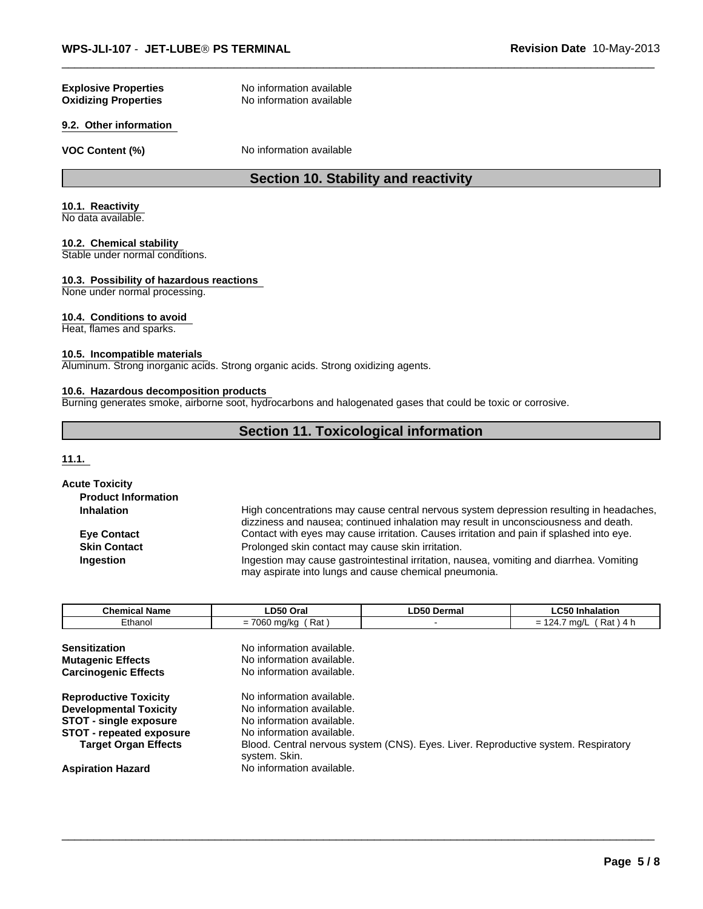#### **Oxidizing Properties Explosive Properties**

No information available No information available

#### **9.2. Other information**

**VOC Content (%)** No information available

## **Section 10. Stability and reactivity**

#### **10.1. Reactivity**

No data available.

#### **10.2. Chemical stability**

Stable under normal conditions.

#### **10.3. Possibility of hazardous reactions**

None under normal processing.

#### **10.4. Conditions to avoid**

Heat, flames and sparks.

#### **10.5. Incompatible materials**

Aluminum. Strong inorganic acids. Strong organic acids. Strong oxidizing agents.

#### **10.6. Hazardous decomposition products**

Burning generates smoke, airborne soot, hydrocarbons and halogenated gases that could be toxic or corrosive.

## **Section 11. Toxicological information**

**11.1.** 

| <b>Acute Toxicity</b>      |                                                                                                                                                                                |
|----------------------------|--------------------------------------------------------------------------------------------------------------------------------------------------------------------------------|
| <b>Product Information</b> |                                                                                                                                                                                |
| <b>Inhalation</b>          | High concentrations may cause central nervous system depression resulting in headaches,<br>dizziness and nausea; continued inhalation may result in unconsciousness and death. |
| <b>Eye Contact</b>         | Contact with eyes may cause irritation. Causes irritation and pain if splashed into eye.                                                                                       |
| <b>Skin Contact</b>        | Prolonged skin contact may cause skin irritation.                                                                                                                              |
| Ingestion                  | Ingestion may cause gastrointestinal irritation, nausea, vomiting and diarrhea. Vomiting<br>may aspirate into lungs and cause chemical pneumonia.                              |

| <b>Chemical Name</b>            | LD50 Oral                                                                          | <b>LD50 Dermal</b> | <b>LC50 Inhalation</b>   |  |  |
|---------------------------------|------------------------------------------------------------------------------------|--------------------|--------------------------|--|--|
| Ethanol                         | $= 7060$ mg/kg (Rat)                                                               |                    | $= 124.7$ mg/L (Rat) 4 h |  |  |
|                                 |                                                                                    |                    |                          |  |  |
| <b>Sensitization</b>            | No information available.                                                          |                    |                          |  |  |
| <b>Mutagenic Effects</b>        | No information available.                                                          |                    |                          |  |  |
| <b>Carcinogenic Effects</b>     | No information available.                                                          |                    |                          |  |  |
| <b>Reproductive Toxicity</b>    | No information available.                                                          |                    |                          |  |  |
| <b>Developmental Toxicity</b>   | No information available.                                                          |                    |                          |  |  |
| STOT - single exposure          | No information available.                                                          |                    |                          |  |  |
| <b>STOT - repeated exposure</b> | No information available.                                                          |                    |                          |  |  |
| <b>Target Organ Effects</b>     | Blood. Central nervous system (CNS). Eyes. Liver. Reproductive system. Respiratory |                    |                          |  |  |
| <b>Aspiration Hazard</b>        | system. Skin.<br>No information available.                                         |                    |                          |  |  |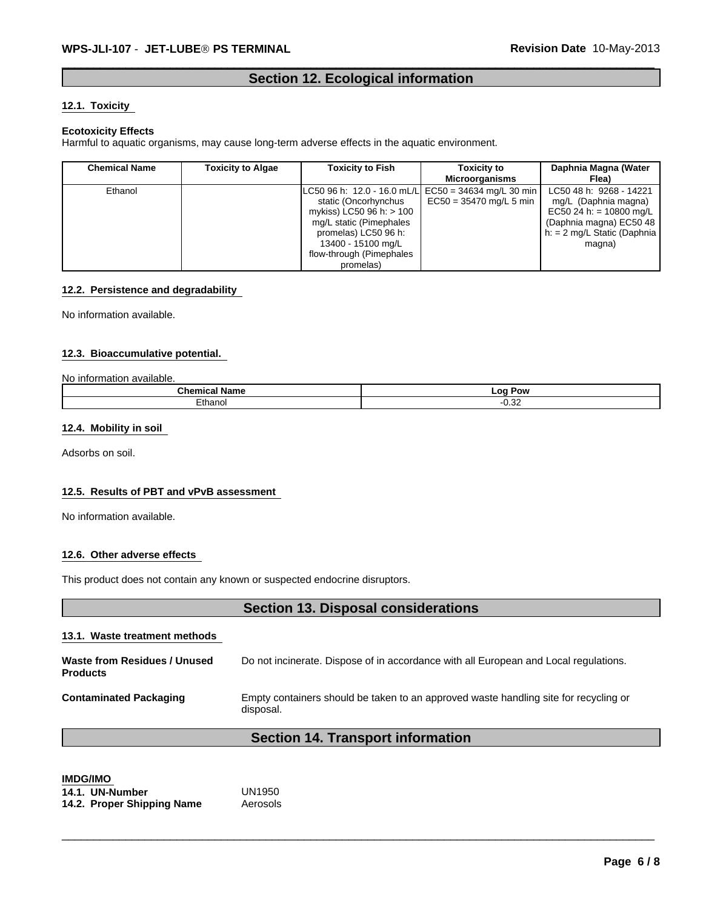## **Section 12. Ecological information**

#### **12.1. Toxicity**

#### **Ecotoxicity Effects**

Harmful to aquatic organisms, may cause long-term adverse effects in the aquatic environment.

| <b>Chemical Name</b> | <b>Toxicity to Algae</b> | <b>Toxicity to Fish</b>                                                                                                                                              | <b>Toxicity to</b><br><b>Microorganisms</b>                                       | Daphnia Magna (Water<br>Flea)                                                                                                                     |
|----------------------|--------------------------|----------------------------------------------------------------------------------------------------------------------------------------------------------------------|-----------------------------------------------------------------------------------|---------------------------------------------------------------------------------------------------------------------------------------------------|
| Ethanol              |                          | static (Oncorhynchus<br>mykiss) LC50 96 h: $> 100$<br>mg/L static (Pimephales<br>promelas) LC50 96 h:<br>13400 - 15100 mg/L<br>flow-through (Pimephales<br>promelas) | LC50 96 h: 12.0 - 16.0 mL/L EC50 = 34634 mg/L 30 min<br>$EC50 = 35470$ mg/L 5 min | LC50 48 h: 9268 - 14221<br>mg/L (Daphnia magna)<br>EC50 24 h: = 10800 mg/L<br>(Daphnia magna) EC50 48<br>$h: = 2$ mg/L Static (Daphnia)<br>magna) |

#### **12.2. Persistence and degradability**

No information available.

#### **12.3. Bioaccumulative potential.**

#### No information available.

| .<br>$\mathbf{A}$<br>Name<br>առա | LOC<br>Pow<br>- -        |
|----------------------------------|--------------------------|
| thann<br>.umanoi                 | $\sim$ 0.0<br>--<br>v.oz |

#### **12.4. Mobility in soil**

Adsorbs on soil.

#### **12.5. Results of PBT and vPvB assessment**

No information available.

#### **12.6. Other adverse effects**

This product does not contain any known or suspected endocrine disruptors.

## **Section 13. Disposal considerations**

#### **13.1. Waste treatment methods**

| Waste from Residues / Unused<br><b>Products</b> | Do not incinerate. Dispose of in accordance with all European and Local regulations.              |
|-------------------------------------------------|---------------------------------------------------------------------------------------------------|
| <b>Contaminated Packaging</b>                   | Empty containers should be taken to an approved waste handling site for recycling or<br>disposal. |

## **Section 14. Transport information**

\_\_\_\_\_\_\_\_\_\_\_\_\_\_\_\_\_\_\_\_\_\_\_\_\_\_\_\_\_\_\_\_\_\_\_\_\_\_\_\_\_\_\_\_\_\_\_\_\_\_\_\_\_\_\_\_\_\_\_\_\_\_\_\_\_\_\_\_\_\_\_\_\_\_\_\_\_\_\_\_\_\_\_\_\_\_\_\_\_\_\_\_\_

## **IMDG/IMO**

| 14.1. UN-Number            | UN1950   |
|----------------------------|----------|
| 14.2. Proper Shipping Name | Aerosols |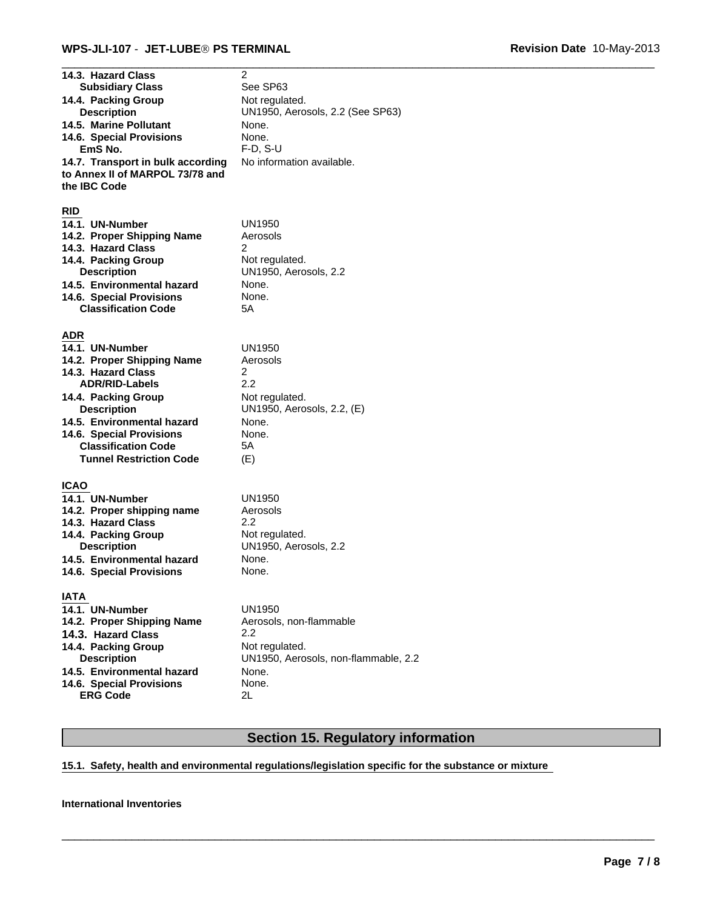| 14.3. Hazard Class<br><b>Subsidiary Class</b><br>14.4. Packing Group<br><b>Description</b><br>14.5. Marine Pollutant<br>14.6. Special Provisions<br>EmS No.<br>14.7. Transport in bulk according<br>to Annex II of MARPOL 73/78 and<br>the IBC Code<br><b>RID</b>                 | 2<br>See SP63<br>Not regulated.<br>UN1950, Aerosols, 2.2 (See SP63)<br>None.<br>None.<br>$F-D$ , S-U<br>No information available. |
|-----------------------------------------------------------------------------------------------------------------------------------------------------------------------------------------------------------------------------------------------------------------------------------|-----------------------------------------------------------------------------------------------------------------------------------|
| 14.1. UN-Number<br>14.2. Proper Shipping Name<br>14.3. Hazard Class<br>14.4. Packing Group<br><b>Description</b><br>14.5. Environmental hazard<br>14.6. Special Provisions<br><b>Classification Code</b>                                                                          | <b>UN1950</b><br>Aerosols<br>2<br>Not regulated.<br>UN1950, Aerosols, 2.2<br>None.<br>None.<br>5Α                                 |
| <b>ADR</b><br>14.1. UN-Number<br>14.2. Proper Shipping Name<br>14.3. Hazard Class<br><b>ADR/RID-Labels</b><br>14.4. Packing Group<br><b>Description</b><br>14.5. Environmental hazard<br>14.6. Special Provisions<br><b>Classification Code</b><br><b>Tunnel Restriction Code</b> | <b>UN1950</b><br>Aerosols<br>$\overline{2}$<br>2.2<br>Not regulated.<br>UN1950, Aerosols, 2.2, (E)<br>None.<br>None.<br>5Α<br>(E) |
| <b>ICAO</b><br>14.1. UN-Number<br>14.2. Proper shipping name<br>14.3. Hazard Class<br>14.4. Packing Group<br><b>Description</b><br>14.5. Environmental hazard<br>14.6. Special Provisions                                                                                         | <b>UN1950</b><br>Aerosols<br>2.2<br>Not regulated.<br>UN1950, Aerosols, 2.2<br>None.<br>None.                                     |
| <b>IATA</b><br>14.1. UN-Number<br>14.2. Proper Shipping Name<br>14.3. Hazard Class<br>14.4. Packing Group<br><b>Description</b><br>14.5. Environmental hazard<br>14.6. Special Provisions<br><b>ERG Code</b>                                                                      | UN1950<br>Aerosols, non-flammable<br>2.2<br>Not regulated.<br>UN1950, Aerosols, non-flammable, 2.2<br>None.<br>None.<br>2L        |

## **Section 15. Regulatory information**

\_\_\_\_\_\_\_\_\_\_\_\_\_\_\_\_\_\_\_\_\_\_\_\_\_\_\_\_\_\_\_\_\_\_\_\_\_\_\_\_\_\_\_\_\_\_\_\_\_\_\_\_\_\_\_\_\_\_\_\_\_\_\_\_\_\_\_\_\_\_\_\_\_\_\_\_\_\_\_\_\_\_\_\_\_\_\_\_\_\_\_\_\_

## **15.1. Safety, health and environmental regulations/legislation specific for the substance or mixture**

#### **International Inventories**